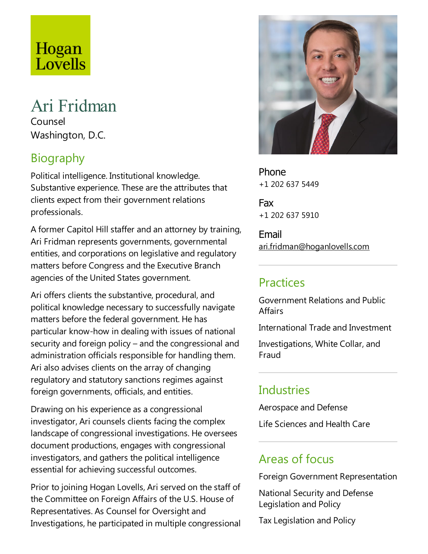# Hogan<br>Lovells

#### Ari Fridman Counsel

Washington, D.C.

## Biography

Political intelligence. Institutional knowledge. Substantive experience. These are the attributes that clients expect from their government relations professionals.

A former Capitol Hill staffer and an attorney by training, Ari Fridman represents governments, governmental entities, and corporations on legislative and regulatory matters before Congress and the Executive Branch agencies of the United States government.

Ari offers clients the substantive, procedural, and political knowledge necessary to successfully navigate matters before the federal government. He has particular know-how in dealing with issues of national security and foreign policy – and the congressional and administration officials responsible for handling them. Ari also advises clients on the array of changing regulatory and statutory sanctions regimes against foreign governments, officials, and entities.

Drawing on his experience as a congressional investigator, Ari counsels clients facing the complex landscape of congressional investigations. He oversees document productions,engages with congressional investigators, and gathers the political intelligence essential for achieving successful outcomes.

Prior to joining Hogan Lovells, Ari served on the staff of the Committee on Foreign Affairs of the U.S. House of Representatives. As Counsel for Oversight and Investigations, he participated in multiple congressional



Phone +1 202 637 5449

Fax +1 202 637 5910

Email ari.fridman@hoganlovells.com

#### **Practices**

Government Relations and Public **Affairs** 

International Trade and Investment

Investigations, White Collar, and Fraud

## Industries

Aerospace and Defense

Life Sciences and Health Care

#### Areas of focus

Foreign Government Representation

National Security and Defense Legislation and Policy

TaxLegislation and Policy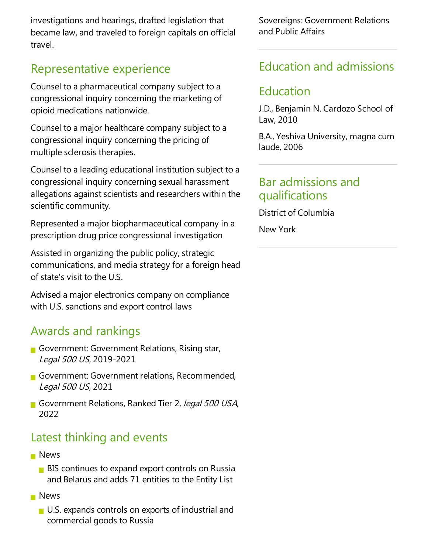investigations and hearings, drafted legislation that became law, and traveled to foreign capitals on official travel.

### Representative experience

Counsel to a pharmaceutical company subject to a congressional inquiry concerning the marketing of opioid medications nationwide.

Counsel to a major healthcare company subject to a congressional inquiry concerning the pricing of multiple sclerosis therapies.

Counsel to aleading educational institution subject to a congressional inquiry concerning sexual harassment allegations against scientists and researchers within the scientific community.

Represented a major biopharmaceutical company in a prescription drug price congressional investigation

Assisted in organizing the public policy, strategic communications, and media strategy for a foreign head of state's visit to the U.S.

Advised a major electronics company on compliance with U.S. sanctions and export control laws

#### Awards and rankings

- Government: Government Relations, Rising star, Legal <sup>500</sup> US, 2019-2021
- Government: Government relations, Recommended, Legal <sup>500</sup> US, 2021
- Government Relations, Ranked Tier 2, legal 500 USA, 2022

## Latest thinking and events

- **News** 
	- $\blacksquare$  BIS continues to expand export controls on Russia and Belarus and adds 71 entities to the Entity List
- **News** 
	- U.S. expands controls on exports of industrial and commercial goods to Russia

Sovereigns: Government Relations and Public Affairs

## Education and admissions

#### Education

J.D., Benjamin N. Cardozo School of Law, 2010

B.A., Yeshiva University, magna cum laude, 2006

#### Bar admissions and qualifications

District of Columbia

New York